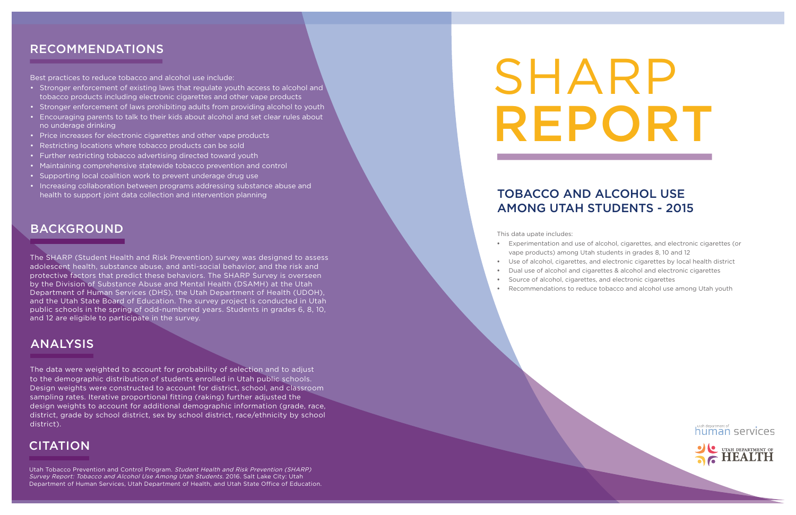# SHARP REPORT

# TOBACCO AND ALCOHOL USE AMONG UTAH STUDENTS - 2015

# RECOMMENDATIONS

Utah Tobacco Prevention and Control Program. Student Health and Risk Prevention (SHARP) Survey Report: Tobacco and Alcohol Use Among Utah Students. 2016. Salt Lake City: Utah Department of Human Services, Utah Department of Health, and Utah State Office of Education. This data upate includes:

- 
- 
- 
- 
- 

**•** Experimentation and use of alcohol, cigarettes, and electronic cigarettes (or vape products) among Utah students in grades 8, 10 and 12 **•** Use of alcohol, cigarettes, and electronic cigarettes by local health district **•** Dual use of alcohol and cigarettes & alcohol and electronic cigarettes **•** Source of alcohol, cigarettes, and electronic cigarettes **•** Recommendations to reduce tobacco and alcohol use among Utah youth



The SHARP (Student Health and Risk Prevention) survey was designed to assess adolescent health, substance abuse, and anti-social behavior, and the risk and protective factors that predict these behaviors. The SHARP Survey is overseen by the Division of Substance Abuse and Mental Health (DSAMH) at the Utah Department of Human Services (DHS), the Utah Department of Health (UDOH), and the Utah State Board of Education. The survey project is conducted in Utah public schools in the spring of odd-numbered years. Students in grades 6, 8, 10, and 12 are eligible to participate in the survey.

- Stronger enforcement of existing laws that regulate youth access to alcohol and tobacco products including electronic cigarettes and other vape products
- Stronger enforcement of laws prohibiting adults from providing alcohol to youth
- Encouraging parents to talk to their kids about alcohol and set clear rules about no underage drinking
- Price increases for electronic cigarettes and other vape products
- Restricting locations where tobacco products can be sold
- Further restricting tobacco advertising directed toward youth
- Maintaining comprehensive statewide tobacco prevention and control
- Supporting local coalition work to prevent underage drug use
- Increasing collaboration between programs addressing substance abuse and health to support joint data collection and intervention planning

# BACKGROUND

The data were weighted to account for probability of selection and to adjust to the demographic distribution of students enrolled in Utah public schools. Design weights were constructed to account for district, school, and classroom sampling rates. Iterative proportional fitting (raking) further adjusted the design weights to account for additional demographic information (grade, race, district, grade by school district, sex by school district, race/ethnicity by school district).

# **CITATION**

# ANALYSIS

Best practices to reduce tobacco and alcohol use include: